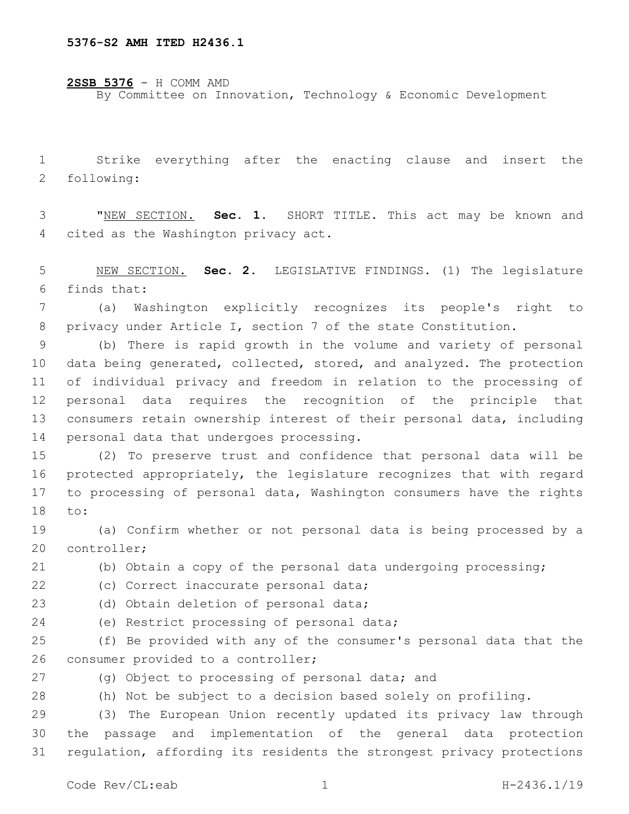**2SSB 5376** - H COMM AMD By Committee on Innovation, Technology & Economic Development

 Strike everything after the enacting clause and insert the 2 following:

 "NEW SECTION. **Sec. 1.** SHORT TITLE. This act may be known and cited as the Washington privacy act.

 NEW SECTION. **Sec. 2.** LEGISLATIVE FINDINGS. (1) The legislature finds that:

 (a) Washington explicitly recognizes its people's right to privacy under Article I, section 7 of the state Constitution.

 (b) There is rapid growth in the volume and variety of personal data being generated, collected, stored, and analyzed. The protection of individual privacy and freedom in relation to the processing of personal data requires the recognition of the principle that consumers retain ownership interest of their personal data, including 14 personal data that undergoes processing.

 (2) To preserve trust and confidence that personal data will be protected appropriately, the legislature recognizes that with regard to processing of personal data, Washington consumers have the rights 18 to:

 (a) Confirm whether or not personal data is being processed by a 20 controller;

(b) Obtain a copy of the personal data undergoing processing;

22 (c) Correct inaccurate personal data;

23 (d) Obtain deletion of personal data;

24 (e) Restrict processing of personal data;

 (f) Be provided with any of the consumer's personal data that the 26 consumer provided to a controller;

27 (g) Object to processing of personal data; and

(h) Not be subject to a decision based solely on profiling.

 (3) The European Union recently updated its privacy law through the passage and implementation of the general data protection regulation, affording its residents the strongest privacy protections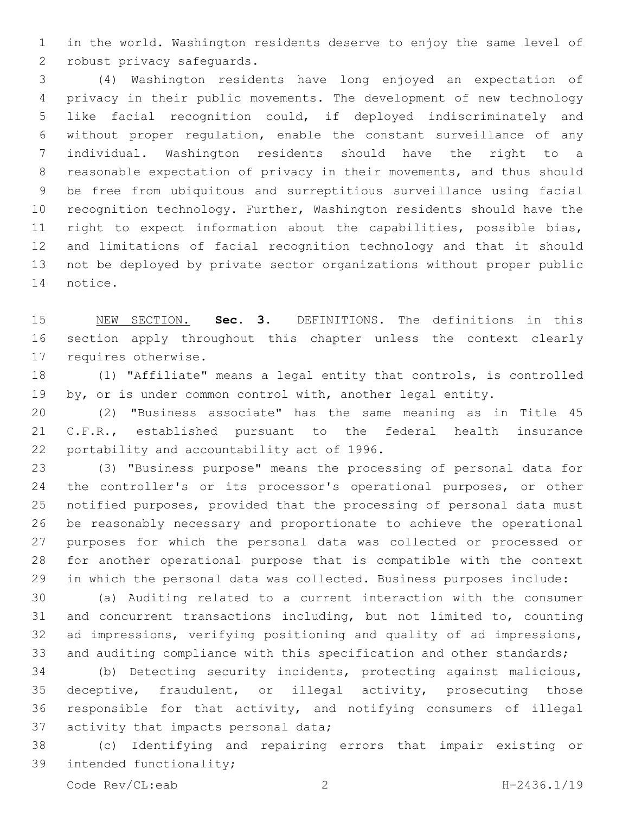in the world. Washington residents deserve to enjoy the same level of 2 robust privacy safeguards.

 (4) Washington residents have long enjoyed an expectation of privacy in their public movements. The development of new technology like facial recognition could, if deployed indiscriminately and without proper regulation, enable the constant surveillance of any individual. Washington residents should have the right to a reasonable expectation of privacy in their movements, and thus should be free from ubiquitous and surreptitious surveillance using facial recognition technology. Further, Washington residents should have the right to expect information about the capabilities, possible bias, and limitations of facial recognition technology and that it should not be deployed by private sector organizations without proper public 14 notice.

 NEW SECTION. **Sec. 3.** DEFINITIONS. The definitions in this section apply throughout this chapter unless the context clearly requires otherwise.

 (1) "Affiliate" means a legal entity that controls, is controlled 19 by, or is under common control with, another legal entity.

 (2) "Business associate" has the same meaning as in Title 45 C.F.R., established pursuant to the federal health insurance 22 portability and accountability act of 1996.

 (3) "Business purpose" means the processing of personal data for the controller's or its processor's operational purposes, or other notified purposes, provided that the processing of personal data must be reasonably necessary and proportionate to achieve the operational purposes for which the personal data was collected or processed or for another operational purpose that is compatible with the context in which the personal data was collected. Business purposes include:

 (a) Auditing related to a current interaction with the consumer and concurrent transactions including, but not limited to, counting ad impressions, verifying positioning and quality of ad impressions, 33 and auditing compliance with this specification and other standards;

 (b) Detecting security incidents, protecting against malicious, deceptive, fraudulent, or illegal activity, prosecuting those responsible for that activity, and notifying consumers of illegal 37 activity that impacts personal data;

 (c) Identifying and repairing errors that impair existing or 39 intended functionality;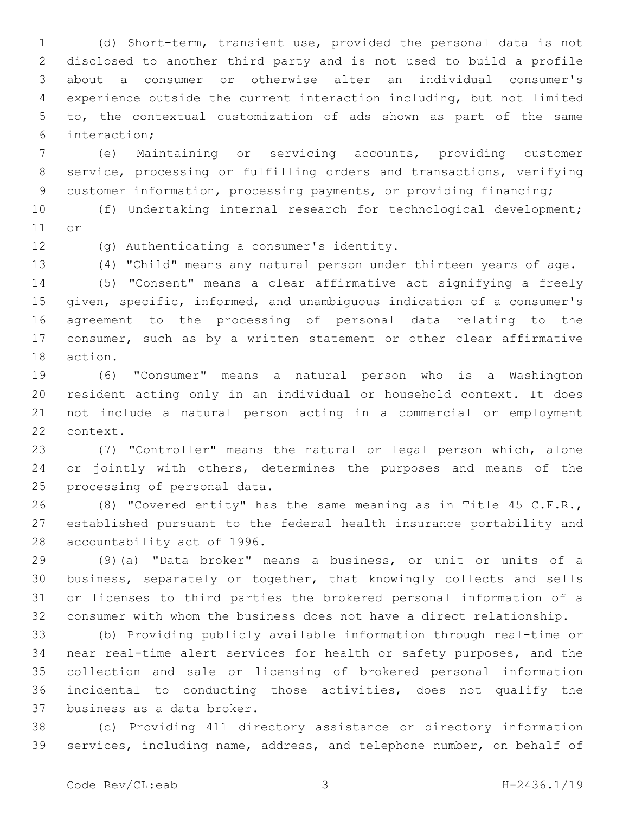(d) Short-term, transient use, provided the personal data is not disclosed to another third party and is not used to build a profile about a consumer or otherwise alter an individual consumer's experience outside the current interaction including, but not limited to, the contextual customization of ads shown as part of the same interaction;6

 (e) Maintaining or servicing accounts, providing customer service, processing or fulfilling orders and transactions, verifying customer information, processing payments, or providing financing;

 (f) Undertaking internal research for technological development; 11 or

12 (g) Authenticating a consumer's identity.

(4) "Child" means any natural person under thirteen years of age.

 (5) "Consent" means a clear affirmative act signifying a freely given, specific, informed, and unambiguous indication of a consumer's agreement to the processing of personal data relating to the consumer, such as by a written statement or other clear affirmative 18 action.

 (6) "Consumer" means a natural person who is a Washington resident acting only in an individual or household context. It does not include a natural person acting in a commercial or employment 22 context.

 (7) "Controller" means the natural or legal person which, alone 24 or jointly with others, determines the purposes and means of the 25 processing of personal data.

 (8) "Covered entity" has the same meaning as in Title 45 C.F.R., established pursuant to the federal health insurance portability and 28 accountability act of 1996.

 (9)(a) "Data broker" means a business, or unit or units of a business, separately or together, that knowingly collects and sells or licenses to third parties the brokered personal information of a consumer with whom the business does not have a direct relationship.

 (b) Providing publicly available information through real-time or near real-time alert services for health or safety purposes, and the collection and sale or licensing of brokered personal information incidental to conducting those activities, does not qualify the 37 business as a data broker.

 (c) Providing 411 directory assistance or directory information services, including name, address, and telephone number, on behalf of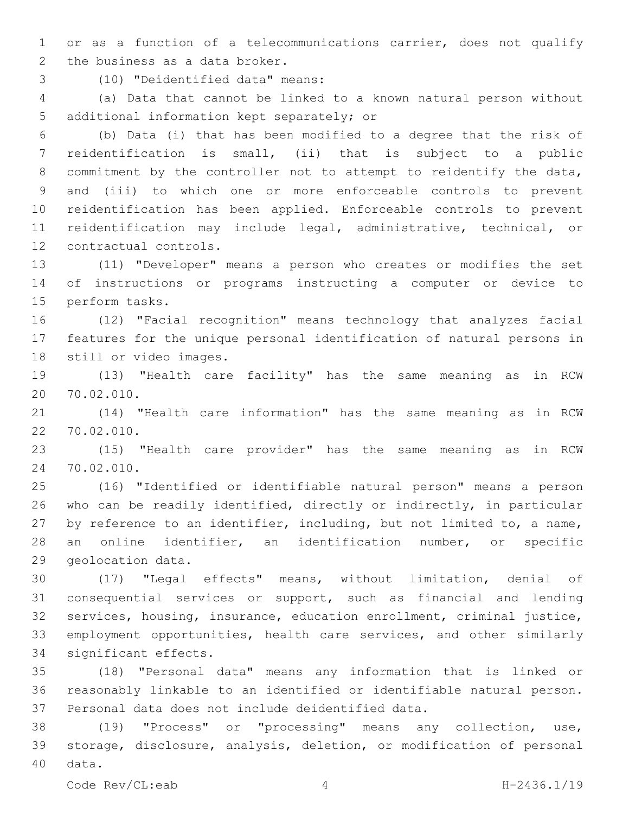or as a function of a telecommunications carrier, does not qualify 2 the business as a data broker.

(10) "Deidentified data" means:3

 (a) Data that cannot be linked to a known natural person without 5 additional information kept separately; or

 (b) Data (i) that has been modified to a degree that the risk of reidentification is small, (ii) that is subject to a public commitment by the controller not to attempt to reidentify the data, and (iii) to which one or more enforceable controls to prevent reidentification has been applied. Enforceable controls to prevent reidentification may include legal, administrative, technical, or 12 contractual controls.

 (11) "Developer" means a person who creates or modifies the set of instructions or programs instructing a computer or device to 15 perform tasks.

 (12) "Facial recognition" means technology that analyzes facial features for the unique personal identification of natural persons in 18 still or video images.

 (13) "Health care facility" has the same meaning as in RCW 70.02.010.20

 (14) "Health care information" has the same meaning as in RCW 70.02.010.22

 (15) "Health care provider" has the same meaning as in RCW 70.02.010.24

 (16) "Identified or identifiable natural person" means a person who can be readily identified, directly or indirectly, in particular by reference to an identifier, including, but not limited to, a name, an online identifier, an identification number, or specific 29 geolocation data.

 (17) "Legal effects" means, without limitation, denial of consequential services or support, such as financial and lending services, housing, insurance, education enrollment, criminal justice, employment opportunities, health care services, and other similarly 34 significant effects.

 (18) "Personal data" means any information that is linked or reasonably linkable to an identified or identifiable natural person. 37 Personal data does not include deidentified data.

 (19) "Process" or "processing" means any collection, use, storage, disclosure, analysis, deletion, or modification of personal 40 data.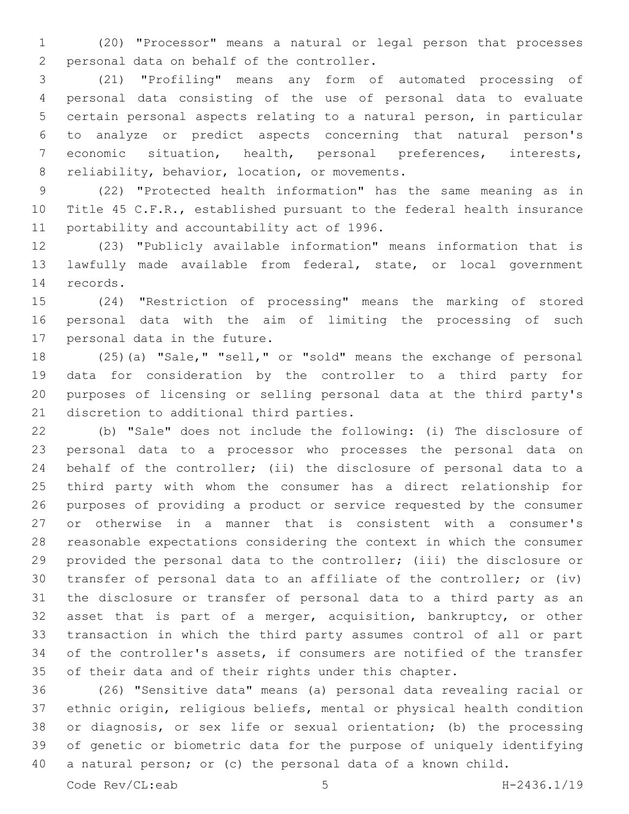(20) "Processor" means a natural or legal person that processes 2 personal data on behalf of the controller.

 (21) "Profiling" means any form of automated processing of personal data consisting of the use of personal data to evaluate certain personal aspects relating to a natural person, in particular to analyze or predict aspects concerning that natural person's economic situation, health, personal preferences, interests, 8 reliability, behavior, location, or movements.

 (22) "Protected health information" has the same meaning as in Title 45 C.F.R., established pursuant to the federal health insurance 11 portability and accountability act of 1996.

 (23) "Publicly available information" means information that is lawfully made available from federal, state, or local government 14 records.

 (24) "Restriction of processing" means the marking of stored personal data with the aim of limiting the processing of such 17 personal data in the future.

 (25)(a) "Sale," "sell," or "sold" means the exchange of personal data for consideration by the controller to a third party for purposes of licensing or selling personal data at the third party's 21 discretion to additional third parties.

 (b) "Sale" does not include the following: (i) The disclosure of personal data to a processor who processes the personal data on behalf of the controller; (ii) the disclosure of personal data to a third party with whom the consumer has a direct relationship for purposes of providing a product or service requested by the consumer or otherwise in a manner that is consistent with a consumer's reasonable expectations considering the context in which the consumer provided the personal data to the controller; (iii) the disclosure or transfer of personal data to an affiliate of the controller; or (iv) the disclosure or transfer of personal data to a third party as an asset that is part of a merger, acquisition, bankruptcy, or other transaction in which the third party assumes control of all or part of the controller's assets, if consumers are notified of the transfer of their data and of their rights under this chapter.

 (26) "Sensitive data" means (a) personal data revealing racial or ethnic origin, religious beliefs, mental or physical health condition or diagnosis, or sex life or sexual orientation; (b) the processing of genetic or biometric data for the purpose of uniquely identifying a natural person; or (c) the personal data of a known child.

Code Rev/CL:eab 5 H-2436.1/19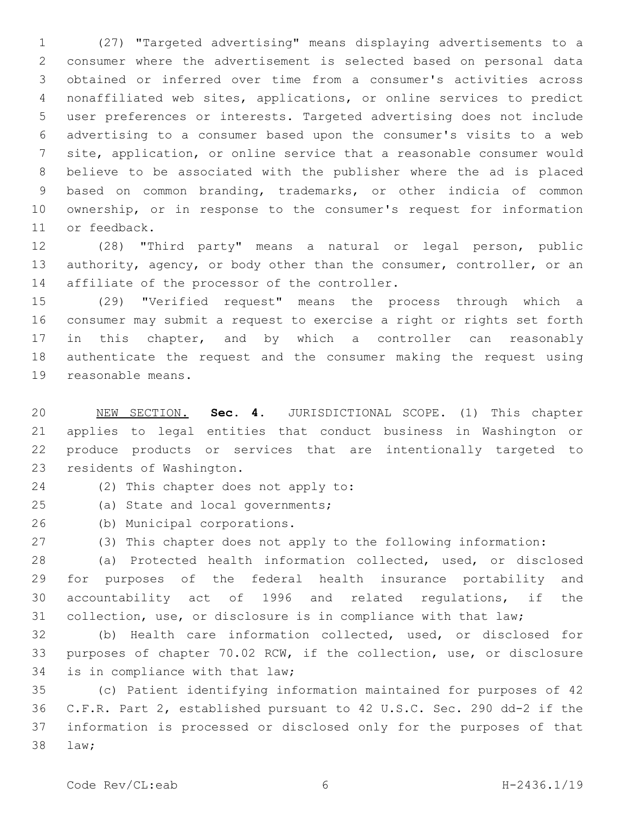(27) "Targeted advertising" means displaying advertisements to a consumer where the advertisement is selected based on personal data obtained or inferred over time from a consumer's activities across nonaffiliated web sites, applications, or online services to predict user preferences or interests. Targeted advertising does not include advertising to a consumer based upon the consumer's visits to a web site, application, or online service that a reasonable consumer would believe to be associated with the publisher where the ad is placed based on common branding, trademarks, or other indicia of common ownership, or in response to the consumer's request for information 11 or feedback.

 (28) "Third party" means a natural or legal person, public 13 authority, agency, or body other than the consumer, controller, or an 14 affiliate of the processor of the controller.

 (29) "Verified request" means the process through which a consumer may submit a request to exercise a right or rights set forth 17 in this chapter, and by which a controller can reasonably authenticate the request and the consumer making the request using 19 reasonable means.

 NEW SECTION. **Sec. 4.** JURISDICTIONAL SCOPE. (1) This chapter applies to legal entities that conduct business in Washington or produce products or services that are intentionally targeted to residents of Washington.

- 24 (2) This chapter does not apply to:
- 25 (a) State and local governments;
- 26 (b) Municipal corporations.
- (3) This chapter does not apply to the following information:

 (a) Protected health information collected, used, or disclosed for purposes of the federal health insurance portability and accountability act of 1996 and related regulations, if the collection, use, or disclosure is in compliance with that law;

 (b) Health care information collected, used, or disclosed for purposes of chapter 70.02 RCW, if the collection, use, or disclosure 34 is in compliance with that law;

 (c) Patient identifying information maintained for purposes of 42 C.F.R. Part 2, established pursuant to 42 U.S.C. Sec. 290 dd-2 if the information is processed or disclosed only for the purposes of that law;38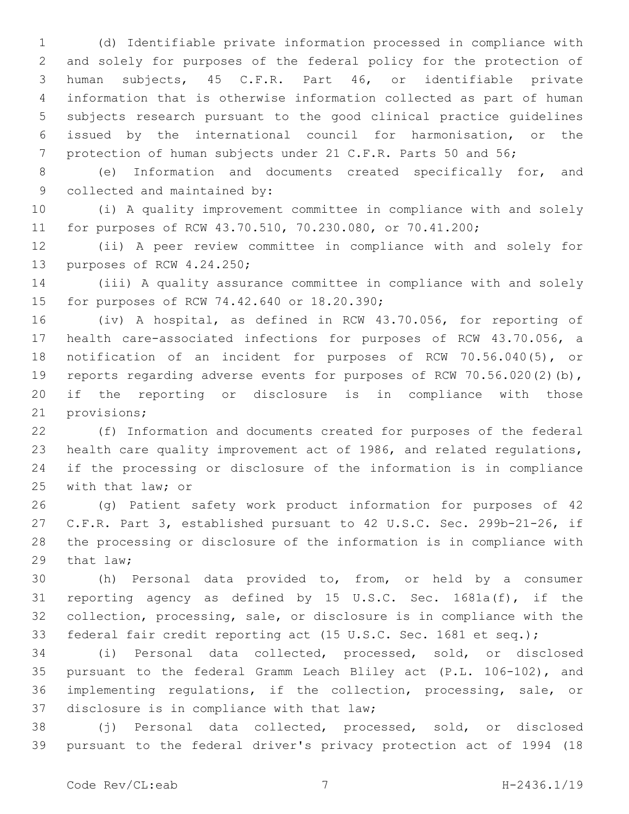(d) Identifiable private information processed in compliance with and solely for purposes of the federal policy for the protection of human subjects, 45 C.F.R. Part 46, or identifiable private information that is otherwise information collected as part of human subjects research pursuant to the good clinical practice guidelines issued by the international council for harmonisation, or the 7 protection of human subjects under 21 C.F.R. Parts 50 and 56;

 (e) Information and documents created specifically for, and 9 collected and maintained by:

 (i) A quality improvement committee in compliance with and solely for purposes of RCW 43.70.510, 70.230.080, or 70.41.200;

 (ii) A peer review committee in compliance with and solely for 13 purposes of RCW 4.24.250;

 (iii) A quality assurance committee in compliance with and solely 15 for purposes of RCW 74.42.640 or 18.20.390;

 (iv) A hospital, as defined in RCW 43.70.056, for reporting of health care-associated infections for purposes of RCW 43.70.056, a notification of an incident for purposes of RCW 70.56.040(5), or reports regarding adverse events for purposes of RCW 70.56.020(2)(b), if the reporting or disclosure is in compliance with those 21 provisions;

 (f) Information and documents created for purposes of the federal health care quality improvement act of 1986, and related regulations, if the processing or disclosure of the information is in compliance 25 with that law; or

 (g) Patient safety work product information for purposes of 42 C.F.R. Part 3, established pursuant to 42 U.S.C. Sec. 299b-21-26, if the processing or disclosure of the information is in compliance with 29 that  $law;$ 

 (h) Personal data provided to, from, or held by a consumer reporting agency as defined by 15 U.S.C. Sec. 1681a(f), if the collection, processing, sale, or disclosure is in compliance with the federal fair credit reporting act (15 U.S.C. Sec. 1681 et seq.);

 (i) Personal data collected, processed, sold, or disclosed pursuant to the federal Gramm Leach Bliley act (P.L. 106-102), and implementing regulations, if the collection, processing, sale, or 37 disclosure is in compliance with that law;

 (j) Personal data collected, processed, sold, or disclosed pursuant to the federal driver's privacy protection act of 1994 (18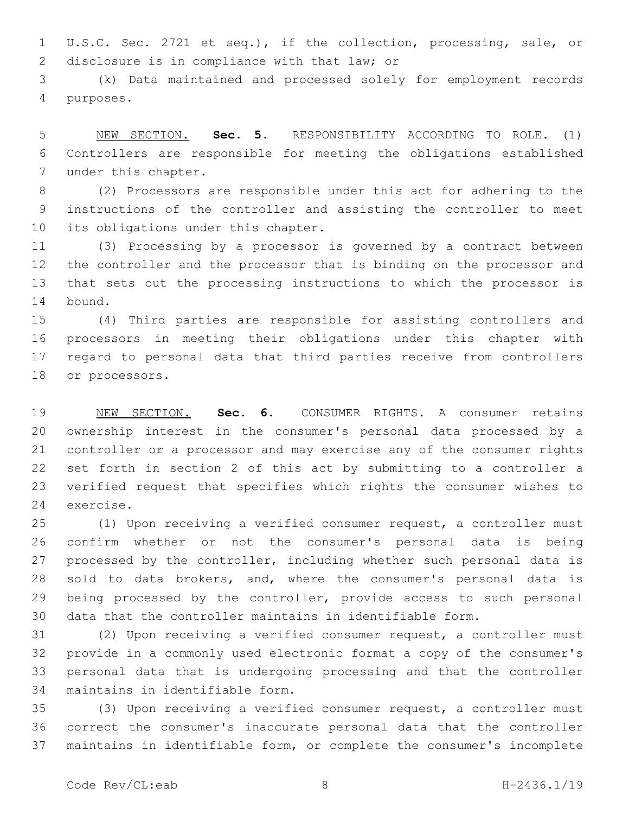U.S.C. Sec. 2721 et seq.), if the collection, processing, sale, or 2 disclosure is in compliance with that law; or

 (k) Data maintained and processed solely for employment records purposes.4

 NEW SECTION. **Sec. 5.** RESPONSIBILITY ACCORDING TO ROLE. (1) Controllers are responsible for meeting the obligations established under this chapter.

 (2) Processors are responsible under this act for adhering to the instructions of the controller and assisting the controller to meet 10 its obligations under this chapter.

 (3) Processing by a processor is governed by a contract between the controller and the processor that is binding on the processor and that sets out the processing instructions to which the processor is 14 bound.

 (4) Third parties are responsible for assisting controllers and processors in meeting their obligations under this chapter with regard to personal data that third parties receive from controllers 18 or processors.

 NEW SECTION. **Sec. 6.** CONSUMER RIGHTS. A consumer retains ownership interest in the consumer's personal data processed by a controller or a processor and may exercise any of the consumer rights set forth in section 2 of this act by submitting to a controller a verified request that specifies which rights the consumer wishes to exercise.

 (1) Upon receiving a verified consumer request, a controller must confirm whether or not the consumer's personal data is being processed by the controller, including whether such personal data is sold to data brokers, and, where the consumer's personal data is 29 being processed by the controller, provide access to such personal data that the controller maintains in identifiable form.

 (2) Upon receiving a verified consumer request, a controller must provide in a commonly used electronic format a copy of the consumer's personal data that is undergoing processing and that the controller 34 maintains in identifiable form.

 (3) Upon receiving a verified consumer request, a controller must correct the consumer's inaccurate personal data that the controller maintains in identifiable form, or complete the consumer's incomplete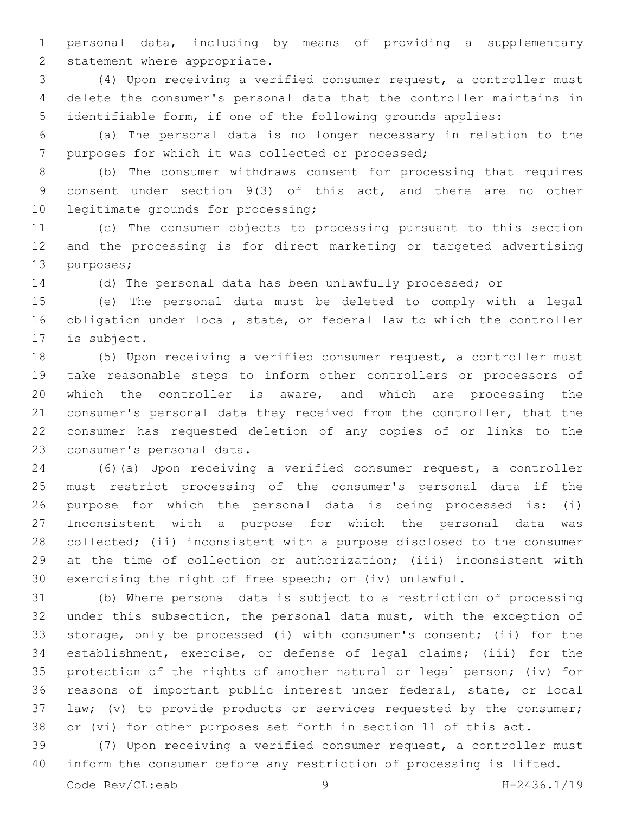personal data, including by means of providing a supplementary 2 statement where appropriate.

 (4) Upon receiving a verified consumer request, a controller must delete the consumer's personal data that the controller maintains in identifiable form, if one of the following grounds applies:

 (a) The personal data is no longer necessary in relation to the 7 purposes for which it was collected or processed;

 (b) The consumer withdraws consent for processing that requires consent under section 9(3) of this act, and there are no other 10 legitimate grounds for processing;

 (c) The consumer objects to processing pursuant to this section and the processing is for direct marketing or targeted advertising 13 purposes;

(d) The personal data has been unlawfully processed; or

 (e) The personal data must be deleted to comply with a legal obligation under local, state, or federal law to which the controller 17 is subject.

 (5) Upon receiving a verified consumer request, a controller must take reasonable steps to inform other controllers or processors of which the controller is aware, and which are processing the consumer's personal data they received from the controller, that the consumer has requested deletion of any copies of or links to the 23 consumer's personal data.

 (6)(a) Upon receiving a verified consumer request, a controller must restrict processing of the consumer's personal data if the purpose for which the personal data is being processed is: (i) Inconsistent with a purpose for which the personal data was collected; (ii) inconsistent with a purpose disclosed to the consumer at the time of collection or authorization; (iii) inconsistent with exercising the right of free speech; or (iv) unlawful.

 (b) Where personal data is subject to a restriction of processing under this subsection, the personal data must, with the exception of storage, only be processed (i) with consumer's consent; (ii) for the establishment, exercise, or defense of legal claims; (iii) for the protection of the rights of another natural or legal person; (iv) for reasons of important public interest under federal, state, or local law; (v) to provide products or services requested by the consumer; or (vi) for other purposes set forth in section 11 of this act.

 (7) Upon receiving a verified consumer request, a controller must inform the consumer before any restriction of processing is lifted.

Code Rev/CL:eab 9 H-2436.1/19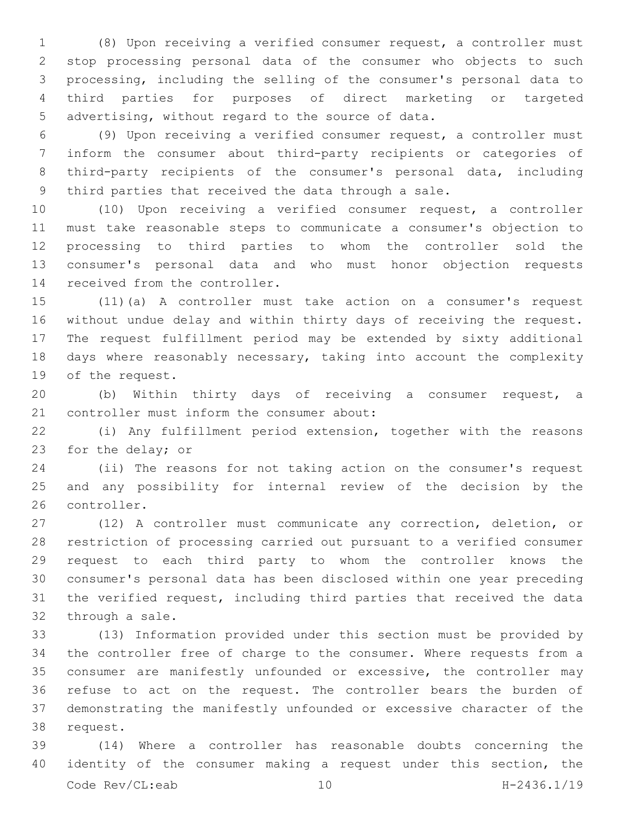(8) Upon receiving a verified consumer request, a controller must stop processing personal data of the consumer who objects to such processing, including the selling of the consumer's personal data to third parties for purposes of direct marketing or targeted 5 advertising, without regard to the source of data.

 (9) Upon receiving a verified consumer request, a controller must inform the consumer about third-party recipients or categories of third-party recipients of the consumer's personal data, including third parties that received the data through a sale.

 (10) Upon receiving a verified consumer request, a controller must take reasonable steps to communicate a consumer's objection to processing to third parties to whom the controller sold the consumer's personal data and who must honor objection requests 14 received from the controller.

 (11)(a) A controller must take action on a consumer's request without undue delay and within thirty days of receiving the request. The request fulfillment period may be extended by sixty additional days where reasonably necessary, taking into account the complexity 19 of the request.

 (b) Within thirty days of receiving a consumer request, a 21 controller must inform the consumer about:

 (i) Any fulfillment period extension, together with the reasons 23 for the delay; or

 (ii) The reasons for not taking action on the consumer's request and any possibility for internal review of the decision by the 26 controller.

 (12) A controller must communicate any correction, deletion, or restriction of processing carried out pursuant to a verified consumer request to each third party to whom the controller knows the consumer's personal data has been disclosed within one year preceding the verified request, including third parties that received the data 32 through a sale.

 (13) Information provided under this section must be provided by the controller free of charge to the consumer. Where requests from a consumer are manifestly unfounded or excessive, the controller may refuse to act on the request. The controller bears the burden of demonstrating the manifestly unfounded or excessive character of the 38 request.

 (14) Where a controller has reasonable doubts concerning the identity of the consumer making a request under this section, the Code Rev/CL:eab 10 H-2436.1/19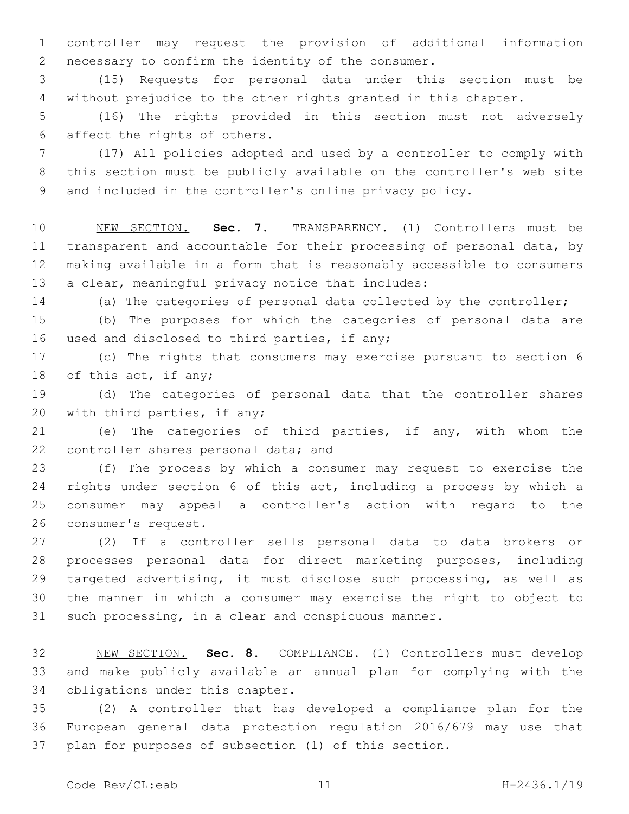controller may request the provision of additional information 2 necessary to confirm the identity of the consumer.

 (15) Requests for personal data under this section must be without prejudice to the other rights granted in this chapter.

 (16) The rights provided in this section must not adversely 6 affect the rights of others.

 (17) All policies adopted and used by a controller to comply with this section must be publicly available on the controller's web site and included in the controller's online privacy policy.

 NEW SECTION. **Sec. 7.** TRANSPARENCY. (1) Controllers must be transparent and accountable for their processing of personal data, by making available in a form that is reasonably accessible to consumers a clear, meaningful privacy notice that includes:

(a) The categories of personal data collected by the controller;

 (b) The purposes for which the categories of personal data are 16 used and disclosed to third parties, if any;

 (c) The rights that consumers may exercise pursuant to section 6 18 of this act, if any;

 (d) The categories of personal data that the controller shares 20 with third parties, if any;

 (e) The categories of third parties, if any, with whom the 22 controller shares personal data; and

 (f) The process by which a consumer may request to exercise the rights under section 6 of this act, including a process by which a consumer may appeal a controller's action with regard to the 26 consumer's request.

 (2) If a controller sells personal data to data brokers or processes personal data for direct marketing purposes, including targeted advertising, it must disclose such processing, as well as the manner in which a consumer may exercise the right to object to such processing, in a clear and conspicuous manner.

 NEW SECTION. **Sec. 8.** COMPLIANCE. (1) Controllers must develop and make publicly available an annual plan for complying with the obligations under this chapter.

 (2) A controller that has developed a compliance plan for the European general data protection regulation 2016/679 may use that plan for purposes of subsection (1) of this section.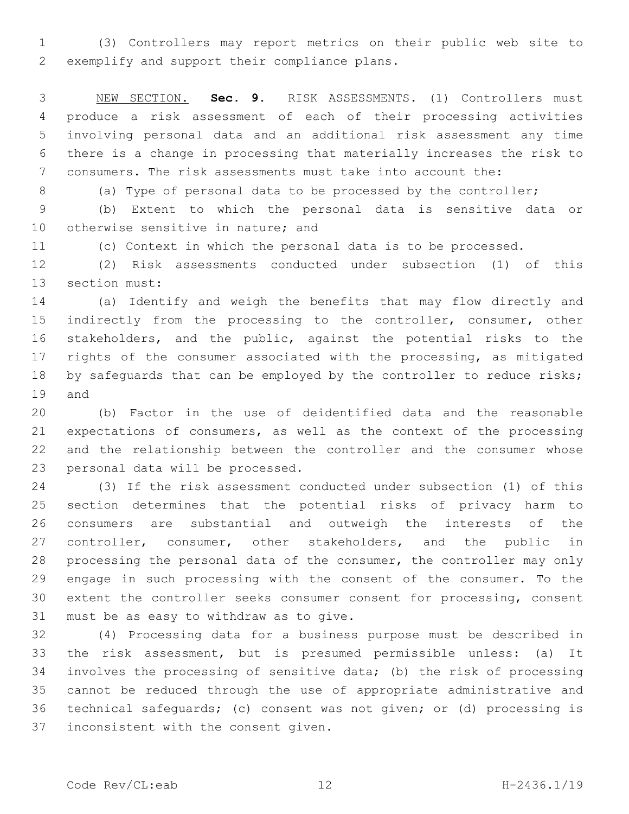(3) Controllers may report metrics on their public web site to 2 exemplify and support their compliance plans.

 NEW SECTION. **Sec. 9.** RISK ASSESSMENTS. (1) Controllers must produce a risk assessment of each of their processing activities involving personal data and an additional risk assessment any time there is a change in processing that materially increases the risk to consumers. The risk assessments must take into account the:

(a) Type of personal data to be processed by the controller;

 (b) Extent to which the personal data is sensitive data or 10 otherwise sensitive in nature; and

(c) Context in which the personal data is to be processed.

 (2) Risk assessments conducted under subsection (1) of this 13 section must:

 (a) Identify and weigh the benefits that may flow directly and 15 indirectly from the processing to the controller, consumer, other stakeholders, and the public, against the potential risks to the 17 rights of the consumer associated with the processing, as mitigated 18 by safequards that can be employed by the controller to reduce risks; 19 and

 (b) Factor in the use of deidentified data and the reasonable expectations of consumers, as well as the context of the processing and the relationship between the controller and the consumer whose 23 personal data will be processed.

 (3) If the risk assessment conducted under subsection (1) of this section determines that the potential risks of privacy harm to consumers are substantial and outweigh the interests of the 27 controller, consumer, other stakeholders, and the public in processing the personal data of the consumer, the controller may only engage in such processing with the consent of the consumer. To the extent the controller seeks consumer consent for processing, consent 31 must be as easy to withdraw as to give.

 (4) Processing data for a business purpose must be described in the risk assessment, but is presumed permissible unless: (a) It involves the processing of sensitive data; (b) the risk of processing cannot be reduced through the use of appropriate administrative and technical safeguards; (c) consent was not given; or (d) processing is 37 inconsistent with the consent given.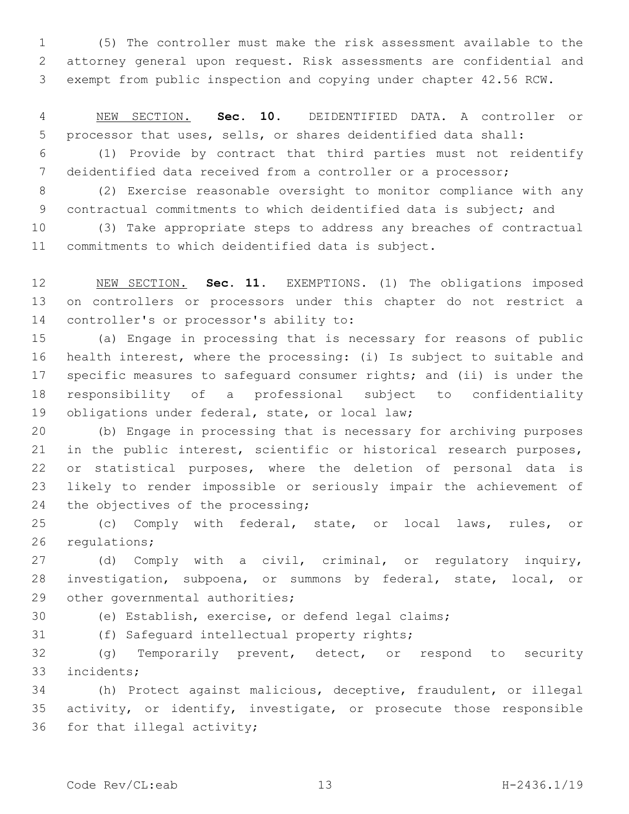(5) The controller must make the risk assessment available to the attorney general upon request. Risk assessments are confidential and exempt from public inspection and copying under chapter 42.56 RCW.

 NEW SECTION. **Sec. 10.** DEIDENTIFIED DATA. A controller or processor that uses, sells, or shares deidentified data shall:

 (1) Provide by contract that third parties must not reidentify deidentified data received from a controller or a processor;

 (2) Exercise reasonable oversight to monitor compliance with any contractual commitments to which deidentified data is subject; and

 (3) Take appropriate steps to address any breaches of contractual commitments to which deidentified data is subject.

 NEW SECTION. **Sec. 11.** EXEMPTIONS. (1) The obligations imposed on controllers or processors under this chapter do not restrict a controller's or processor's ability to:

 (a) Engage in processing that is necessary for reasons of public health interest, where the processing: (i) Is subject to suitable and specific measures to safeguard consumer rights; and (ii) is under the responsibility of a professional subject to confidentiality 19 obligations under federal, state, or local law;

 (b) Engage in processing that is necessary for archiving purposes in the public interest, scientific or historical research purposes, or statistical purposes, where the deletion of personal data is likely to render impossible or seriously impair the achievement of 24 the objectives of the processing;

 (c) Comply with federal, state, or local laws, rules, or 26 regulations;

 (d) Comply with a civil, criminal, or regulatory inquiry, investigation, subpoena, or summons by federal, state, local, or 29 other governmental authorities;

(e) Establish, exercise, or defend legal claims;

31 (f) Safequard intellectual property rights;

 (g) Temporarily prevent, detect, or respond to security 33 incidents;

 (h) Protect against malicious, deceptive, fraudulent, or illegal activity, or identify, investigate, or prosecute those responsible 36 for that illegal activity;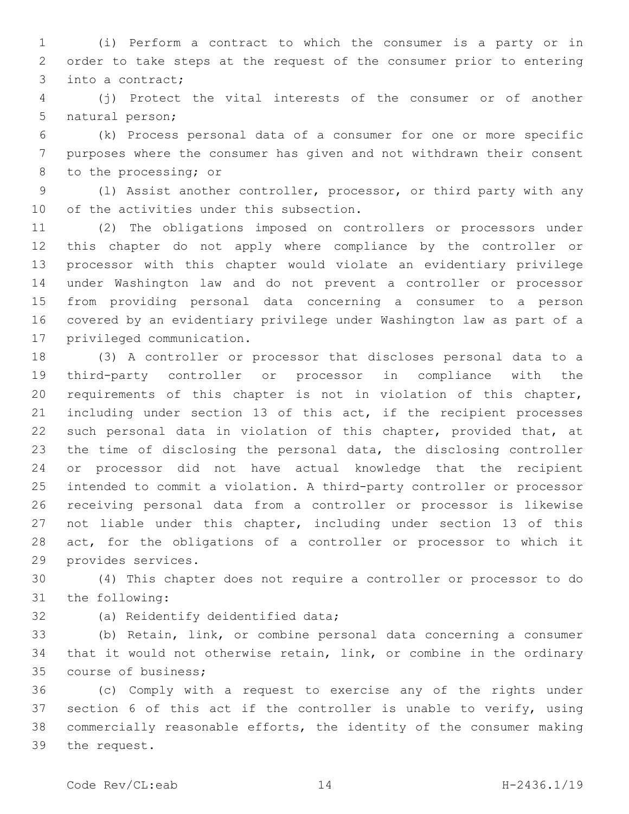(i) Perform a contract to which the consumer is a party or in order to take steps at the request of the consumer prior to entering 3 into a contract;

 (j) Protect the vital interests of the consumer or of another 5 natural person;

 (k) Process personal data of a consumer for one or more specific purposes where the consumer has given and not withdrawn their consent 8 to the processing; or

 (l) Assist another controller, processor, or third party with any 10 of the activities under this subsection.

 (2) The obligations imposed on controllers or processors under this chapter do not apply where compliance by the controller or processor with this chapter would violate an evidentiary privilege under Washington law and do not prevent a controller or processor from providing personal data concerning a consumer to a person covered by an evidentiary privilege under Washington law as part of a 17 privileged communication.

 (3) A controller or processor that discloses personal data to a third-party controller or processor in compliance with the requirements of this chapter is not in violation of this chapter, including under section 13 of this act, if the recipient processes such personal data in violation of this chapter, provided that, at the time of disclosing the personal data, the disclosing controller or processor did not have actual knowledge that the recipient intended to commit a violation. A third-party controller or processor receiving personal data from a controller or processor is likewise not liable under this chapter, including under section 13 of this act, for the obligations of a controller or processor to which it 29 provides services.

 (4) This chapter does not require a controller or processor to do 31 the following:

32 (a) Reidentify deidentified data;

 (b) Retain, link, or combine personal data concerning a consumer that it would not otherwise retain, link, or combine in the ordinary 35 course of business;

 (c) Comply with a request to exercise any of the rights under section 6 of this act if the controller is unable to verify, using commercially reasonable efforts, the identity of the consumer making 39 the request.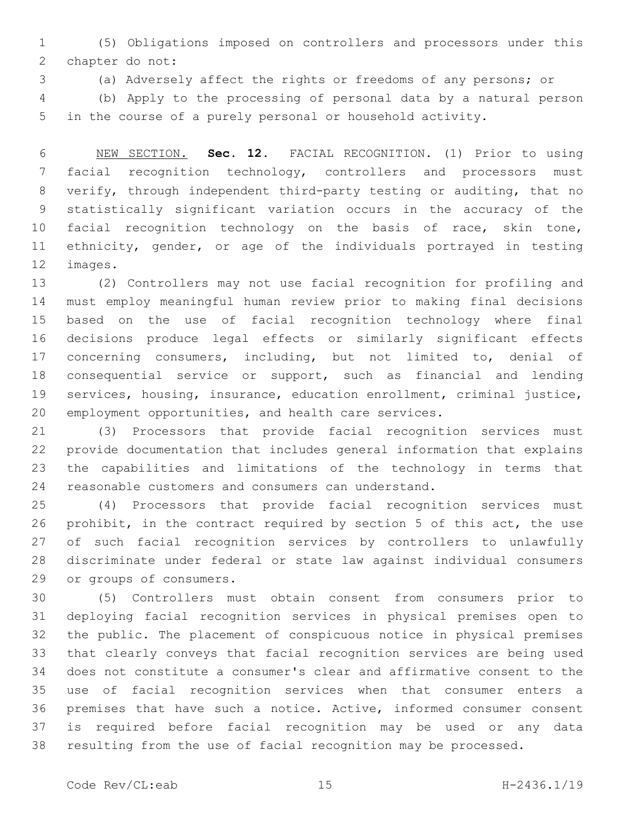(5) Obligations imposed on controllers and processors under this 2 chapter do not:

(a) Adversely affect the rights or freedoms of any persons; or

 (b) Apply to the processing of personal data by a natural person in the course of a purely personal or household activity.

 NEW SECTION. **Sec. 12.** FACIAL RECOGNITION. (1) Prior to using facial recognition technology, controllers and processors must verify, through independent third-party testing or auditing, that no statistically significant variation occurs in the accuracy of the facial recognition technology on the basis of race, skin tone, ethnicity, gender, or age of the individuals portrayed in testing images.

 (2) Controllers may not use facial recognition for profiling and must employ meaningful human review prior to making final decisions based on the use of facial recognition technology where final decisions produce legal effects or similarly significant effects concerning consumers, including, but not limited to, denial of consequential service or support, such as financial and lending services, housing, insurance, education enrollment, criminal justice, employment opportunities, and health care services.

 (3) Processors that provide facial recognition services must provide documentation that includes general information that explains the capabilities and limitations of the technology in terms that reasonable customers and consumers can understand.

 (4) Processors that provide facial recognition services must prohibit, in the contract required by section 5 of this act, the use of such facial recognition services by controllers to unlawfully discriminate under federal or state law against individual consumers 29 or groups of consumers.

 (5) Controllers must obtain consent from consumers prior to deploying facial recognition services in physical premises open to the public. The placement of conspicuous notice in physical premises that clearly conveys that facial recognition services are being used does not constitute a consumer's clear and affirmative consent to the use of facial recognition services when that consumer enters a premises that have such a notice. Active, informed consumer consent is required before facial recognition may be used or any data resulting from the use of facial recognition may be processed.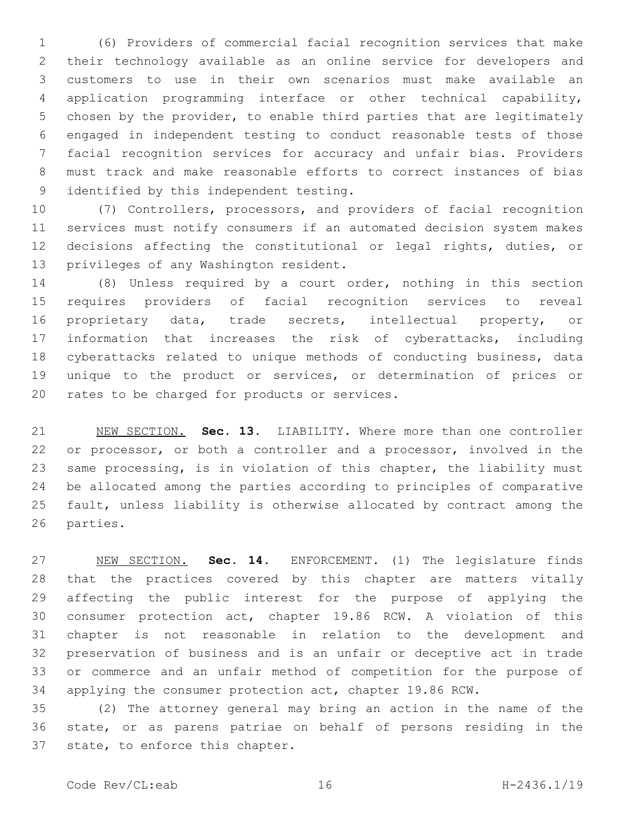(6) Providers of commercial facial recognition services that make their technology available as an online service for developers and customers to use in their own scenarios must make available an application programming interface or other technical capability, chosen by the provider, to enable third parties that are legitimately engaged in independent testing to conduct reasonable tests of those facial recognition services for accuracy and unfair bias. Providers must track and make reasonable efforts to correct instances of bias 9 identified by this independent testing.

 (7) Controllers, processors, and providers of facial recognition services must notify consumers if an automated decision system makes decisions affecting the constitutional or legal rights, duties, or 13 privileges of any Washington resident.

 (8) Unless required by a court order, nothing in this section requires providers of facial recognition services to reveal proprietary data, trade secrets, intellectual property, or information that increases the risk of cyberattacks, including cyberattacks related to unique methods of conducting business, data unique to the product or services, or determination of prices or 20 rates to be charged for products or services.

 NEW SECTION. **Sec. 13.** LIABILITY. Where more than one controller or processor, or both a controller and a processor, involved in the same processing, is in violation of this chapter, the liability must be allocated among the parties according to principles of comparative fault, unless liability is otherwise allocated by contract among the parties.

 NEW SECTION. **Sec. 14.** ENFORCEMENT. (1) The legislature finds that the practices covered by this chapter are matters vitally affecting the public interest for the purpose of applying the consumer protection act, chapter 19.86 RCW. A violation of this chapter is not reasonable in relation to the development and preservation of business and is an unfair or deceptive act in trade or commerce and an unfair method of competition for the purpose of applying the consumer protection act, chapter 19.86 RCW.

 (2) The attorney general may bring an action in the name of the state, or as parens patriae on behalf of persons residing in the 37 state, to enforce this chapter.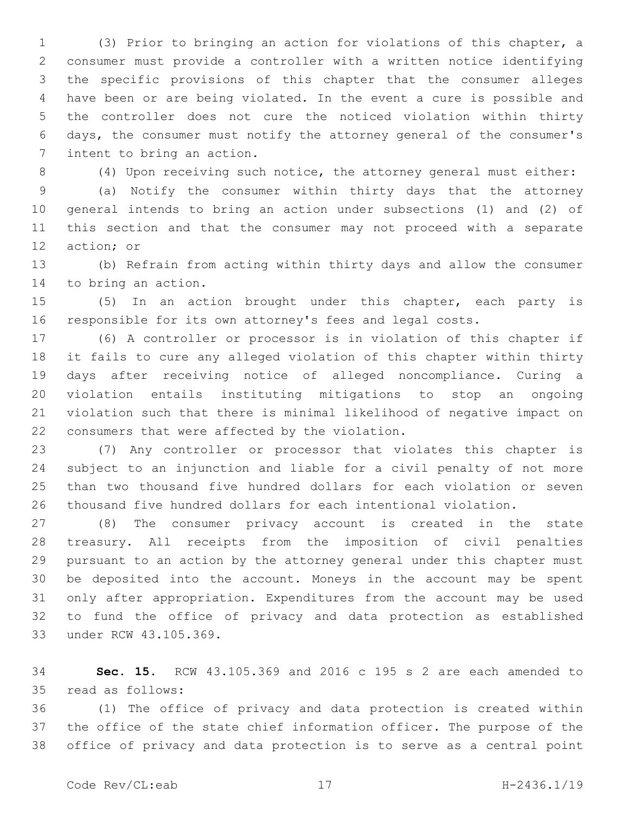(3) Prior to bringing an action for violations of this chapter, a consumer must provide a controller with a written notice identifying the specific provisions of this chapter that the consumer alleges have been or are being violated. In the event a cure is possible and the controller does not cure the noticed violation within thirty days, the consumer must notify the attorney general of the consumer's 7 intent to bring an action.

(4) Upon receiving such notice, the attorney general must either:

 (a) Notify the consumer within thirty days that the attorney general intends to bring an action under subsections (1) and (2) of this section and that the consumer may not proceed with a separate 12 action; or

 (b) Refrain from acting within thirty days and allow the consumer 14 to bring an action.

 (5) In an action brought under this chapter, each party is responsible for its own attorney's fees and legal costs.

 (6) A controller or processor is in violation of this chapter if it fails to cure any alleged violation of this chapter within thirty days after receiving notice of alleged noncompliance. Curing a violation entails instituting mitigations to stop an ongoing violation such that there is minimal likelihood of negative impact on 22 consumers that were affected by the violation.

 (7) Any controller or processor that violates this chapter is subject to an injunction and liable for a civil penalty of not more than two thousand five hundred dollars for each violation or seven thousand five hundred dollars for each intentional violation.

 (8) The consumer privacy account is created in the state treasury. All receipts from the imposition of civil penalties pursuant to an action by the attorney general under this chapter must be deposited into the account. Moneys in the account may be spent only after appropriation. Expenditures from the account may be used to fund the office of privacy and data protection as established 33 under RCW 43.105.369.

 **Sec. 15.** RCW 43.105.369 and 2016 c 195 s 2 are each amended to 35 read as follows:

 (1) The office of privacy and data protection is created within the office of the state chief information officer. The purpose of the office of privacy and data protection is to serve as a central point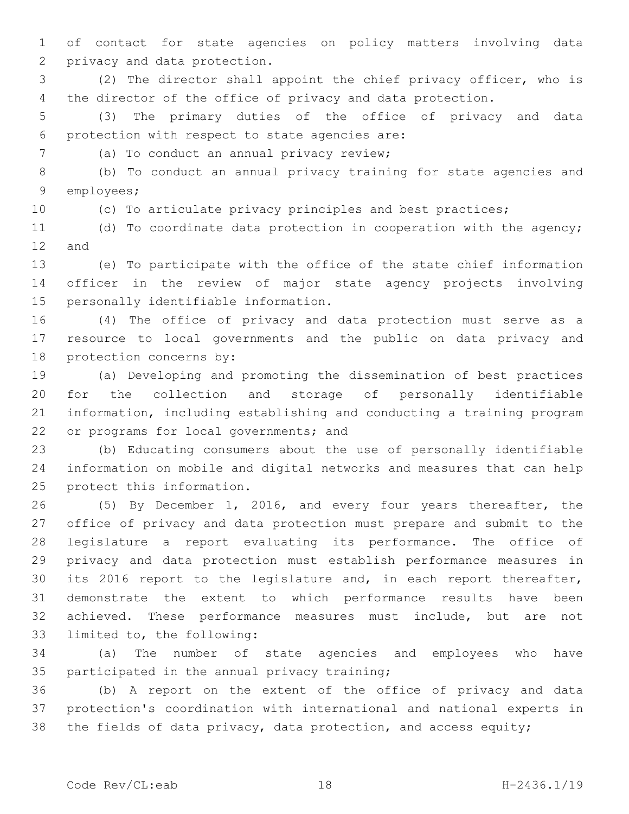of contact for state agencies on policy matters involving data 2 privacy and data protection.

 (2) The director shall appoint the chief privacy officer, who is the director of the office of privacy and data protection.

 (3) The primary duties of the office of privacy and data 6 protection with respect to state agencies are:

7 (a) To conduct an annual privacy review;

 (b) To conduct an annual privacy training for state agencies and 9 employees;

(c) To articulate privacy principles and best practices;

 (d) To coordinate data protection in cooperation with the agency; 12 and

 (e) To participate with the office of the state chief information officer in the review of major state agency projects involving 15 personally identifiable information.

 (4) The office of privacy and data protection must serve as a resource to local governments and the public on data privacy and 18 protection concerns by:

 (a) Developing and promoting the dissemination of best practices for the collection and storage of personally identifiable information, including establishing and conducting a training program 22 or programs for local governments; and

 (b) Educating consumers about the use of personally identifiable information on mobile and digital networks and measures that can help 25 protect this information.

 (5) By December 1, 2016, and every four years thereafter, the office of privacy and data protection must prepare and submit to the legislature a report evaluating its performance. The office of privacy and data protection must establish performance measures in its 2016 report to the legislature and, in each report thereafter, demonstrate the extent to which performance results have been achieved. These performance measures must include, but are not 33 limited to, the following:

 (a) The number of state agencies and employees who have 35 participated in the annual privacy training;

 (b) A report on the extent of the office of privacy and data protection's coordination with international and national experts in 38 the fields of data privacy, data protection, and access equity;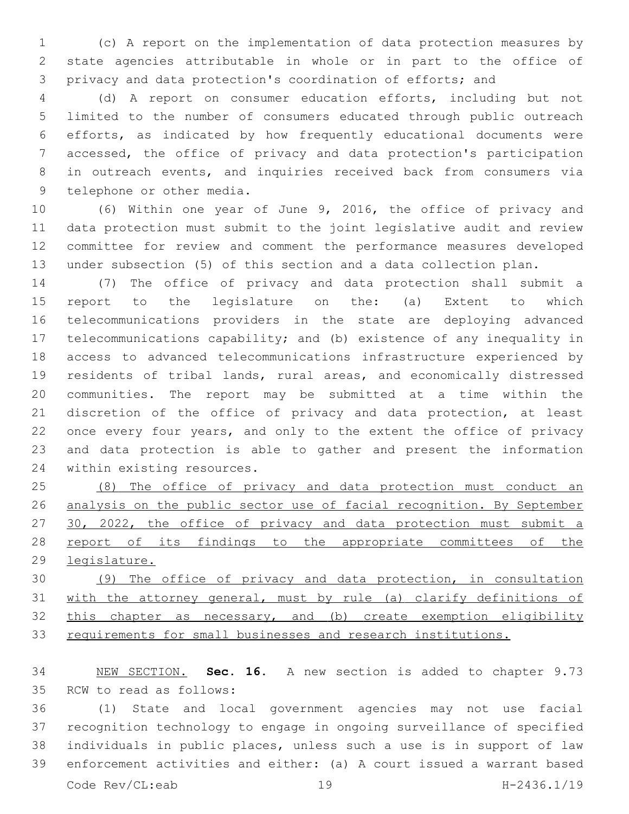(c) A report on the implementation of data protection measures by state agencies attributable in whole or in part to the office of privacy and data protection's coordination of efforts; and

 (d) A report on consumer education efforts, including but not limited to the number of consumers educated through public outreach efforts, as indicated by how frequently educational documents were accessed, the office of privacy and data protection's participation in outreach events, and inquiries received back from consumers via 9 telephone or other media.

 (6) Within one year of June 9, 2016, the office of privacy and data protection must submit to the joint legislative audit and review committee for review and comment the performance measures developed under subsection (5) of this section and a data collection plan.

 (7) The office of privacy and data protection shall submit a report to the legislature on the: (a) Extent to which telecommunications providers in the state are deploying advanced telecommunications capability; and (b) existence of any inequality in access to advanced telecommunications infrastructure experienced by residents of tribal lands, rural areas, and economically distressed communities. The report may be submitted at a time within the discretion of the office of privacy and data protection, at least once every four years, and only to the extent the office of privacy and data protection is able to gather and present the information 24 within existing resources.

 (8) The office of privacy and data protection must conduct an analysis on the public sector use of facial recognition. By September 30, 2022, the office of privacy and data protection must submit a 28 report of its findings to the appropriate committees of the legislature.

 (9) The office of privacy and data protection, in consultation with the attorney general, must by rule (a) clarify definitions of this chapter as necessary, and (b) create exemption eligibility requirements for small businesses and research institutions.

 NEW SECTION. **Sec. 16.** A new section is added to chapter 9.73 35 RCW to read as follows:

 (1) State and local government agencies may not use facial recognition technology to engage in ongoing surveillance of specified individuals in public places, unless such a use is in support of law enforcement activities and either: (a) A court issued a warrant based Code Rev/CL:eab 19 H-2436.1/19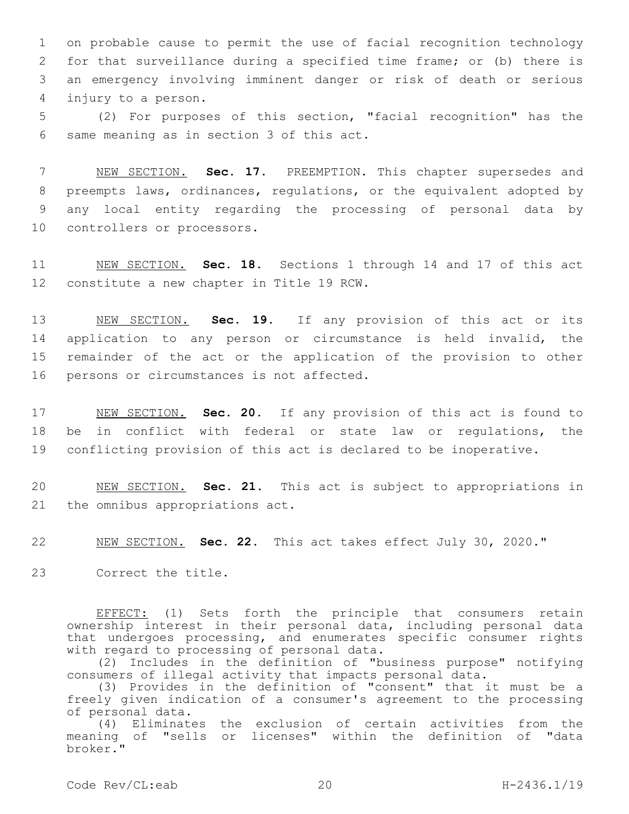on probable cause to permit the use of facial recognition technology for that surveillance during a specified time frame; or (b) there is an emergency involving imminent danger or risk of death or serious injury to a person.4

5 (2) For purposes of this section, "facial recognition" has the 6 same meaning as in section 3 of this act.

 NEW SECTION. **Sec. 17.** PREEMPTION. This chapter supersedes and preempts laws, ordinances, regulations, or the equivalent adopted by any local entity regarding the processing of personal data by controllers or processors.

11 NEW SECTION. **Sec. 18.** Sections 1 through 14 and 17 of this act 12 constitute a new chapter in Title 19 RCW.

 NEW SECTION. **Sec. 19.** If any provision of this act or its application to any person or circumstance is held invalid, the remainder of the act or the application of the provision to other persons or circumstances is not affected.

17 NEW SECTION. **Sec. 20.** If any provision of this act is found to 18 be in conflict with federal or state law or regulations, the 19 conflicting provision of this act is declared to be inoperative.

20 NEW SECTION. **Sec. 21.** This act is subject to appropriations in 21 the omnibus appropriations act.

22 NEW SECTION. **Sec. 22.** This act takes effect July 30, 2020."

23 Correct the title.

EFFECT: (1) Sets forth the principle that consumers retain ownership interest in their personal data, including personal data that undergoes processing, and enumerates specific consumer rights with regard to processing of personal data.

(2) Includes in the definition of "business purpose" notifying consumers of illegal activity that impacts personal data.

(3) Provides in the definition of "consent" that it must be a freely given indication of a consumer's agreement to the processing of personal data.

(4) Eliminates the exclusion of certain activities from the meaning of "sells or licenses" within the definition of "data broker."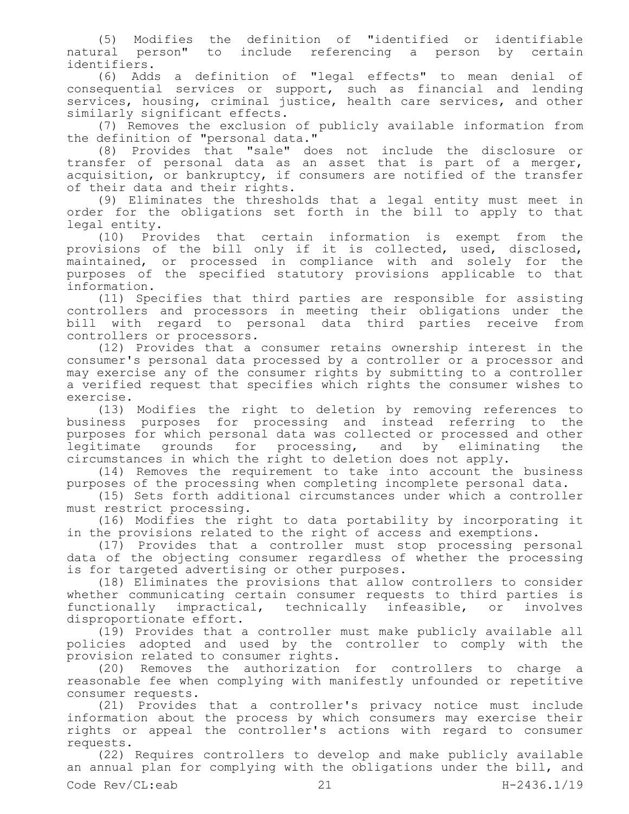(5) Modifies the definition of "identified or identifiable natural person" to include referencing a person by certain identifiers.

(6) Adds a definition of "legal effects" to mean denial of consequential services or support, such as financial and lending services, housing, criminal justice, health care services, and other similarly significant effects.

(7) Removes the exclusion of publicly available information from the definition of "personal data."

(8) Provides that "sale" does not include the disclosure or transfer of personal data as an asset that is part of a merger, acquisition, or bankruptcy, if consumers are notified of the transfer of their data and their rights.

(9) Eliminates the thresholds that a legal entity must meet in order for the obligations set forth in the bill to apply to that legal entity.

(10) Provides that certain information is exempt from the provisions of the bill only if it is collected, used, disclosed, maintained, or processed in compliance with and solely for the purposes of the specified statutory provisions applicable to that information.

(11) Specifies that third parties are responsible for assisting controllers and processors in meeting their obligations under the bill with regard to personal data third parties receive from controllers or processors.

(12) Provides that a consumer retains ownership interest in the consumer's personal data processed by a controller or a processor and may exercise any of the consumer rights by submitting to a controller a verified request that specifies which rights the consumer wishes to exercise.

(13) Modifies the right to deletion by removing references to business purposes for processing and instead referring to the purposes for which personal data was collected or processed and other legitimate grounds for processing, and by eliminating the circumstances in which the right to deletion does not apply.

(14) Removes the requirement to take into account the business purposes of the processing when completing incomplete personal data.

(15) Sets forth additional circumstances under which a controller must restrict processing.

(16) Modifies the right to data portability by incorporating it in the provisions related to the right of access and exemptions.

(17) Provides that a controller must stop processing personal data of the objecting consumer regardless of whether the processing is for targeted advertising or other purposes.

(18) Eliminates the provisions that allow controllers to consider whether communicating certain consumer requests to third parties is<br>functionally impractical, technically infeasible, or involves functionally impractical, technically infeasible, or involves disproportionate effort.

(19) Provides that a controller must make publicly available all policies adopted and used by the controller to comply with the provision related to consumer rights.

(20) Removes the authorization for controllers to charge a reasonable fee when complying with manifestly unfounded or repetitive consumer requests.

(21) Provides that a controller's privacy notice must include information about the process by which consumers may exercise their rights or appeal the controller's actions with regard to consumer requests.

(22) Requires controllers to develop and make publicly available an annual plan for complying with the obligations under the bill, and